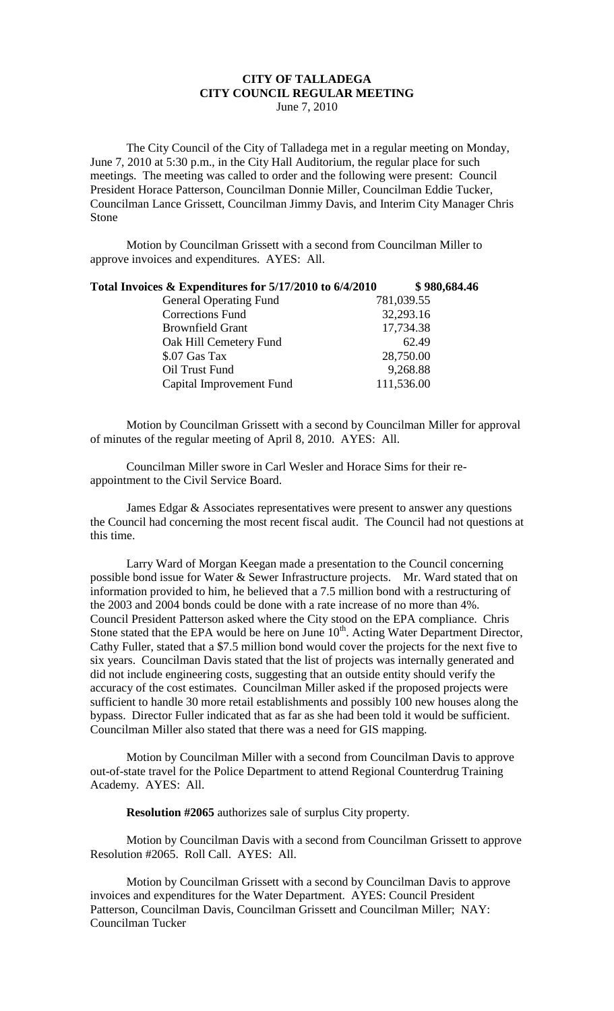## **CITY OF TALLADEGA CITY COUNCIL REGULAR MEETING** June 7, 2010

The City Council of the City of Talladega met in a regular meeting on Monday, June 7, 2010 at 5:30 p.m., in the City Hall Auditorium, the regular place for such meetings. The meeting was called to order and the following were present: Council President Horace Patterson, Councilman Donnie Miller, Councilman Eddie Tucker, Councilman Lance Grissett, Councilman Jimmy Davis, and Interim City Manager Chris Stone

Motion by Councilman Grissett with a second from Councilman Miller to approve invoices and expenditures. AYES: All.

| Total Invoices & Expenditures for 5/17/2010 to 6/4/2010 | \$980,684.46 |
|---------------------------------------------------------|--------------|
| <b>General Operating Fund</b>                           | 781,039.55   |
| Corrections Fund                                        | 32,293.16    |
| <b>Brownfield Grant</b>                                 | 17,734.38    |
| Oak Hill Cemetery Fund                                  | 62.49        |
| \$.07 Gas Tax                                           | 28,750.00    |
| Oil Trust Fund                                          | 9,268.88     |
| Capital Improvement Fund                                | 111,536.00   |

Motion by Councilman Grissett with a second by Councilman Miller for approval of minutes of the regular meeting of April 8, 2010. AYES: All.

Councilman Miller swore in Carl Wesler and Horace Sims for their reappointment to the Civil Service Board.

James Edgar & Associates representatives were present to answer any questions the Council had concerning the most recent fiscal audit. The Council had not questions at this time.

Larry Ward of Morgan Keegan made a presentation to the Council concerning possible bond issue for Water & Sewer Infrastructure projects. Mr. Ward stated that on information provided to him, he believed that a 7.5 million bond with a restructuring of the 2003 and 2004 bonds could be done with a rate increase of no more than 4%. Council President Patterson asked where the City stood on the EPA compliance. Chris Stone stated that the EPA would be here on June 10<sup>th</sup>. Acting Water Department Director, Cathy Fuller, stated that a \$7.5 million bond would cover the projects for the next five to six years. Councilman Davis stated that the list of projects was internally generated and did not include engineering costs, suggesting that an outside entity should verify the accuracy of the cost estimates. Councilman Miller asked if the proposed projects were sufficient to handle 30 more retail establishments and possibly 100 new houses along the bypass. Director Fuller indicated that as far as she had been told it would be sufficient. Councilman Miller also stated that there was a need for GIS mapping.

Motion by Councilman Miller with a second from Councilman Davis to approve out-of-state travel for the Police Department to attend Regional Counterdrug Training Academy. AYES: All.

**Resolution #2065** authorizes sale of surplus City property.

Motion by Councilman Davis with a second from Councilman Grissett to approve Resolution #2065. Roll Call. AYES: All.

Motion by Councilman Grissett with a second by Councilman Davis to approve invoices and expenditures for the Water Department. AYES: Council President Patterson, Councilman Davis, Councilman Grissett and Councilman Miller; NAY: Councilman Tucker